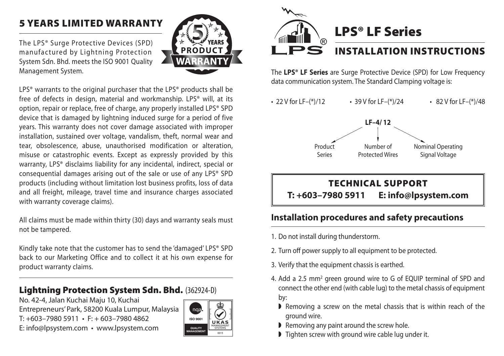## 5 Years Limited Warranty

The LPS® Surge Protective Devices (SPD) manufactured by Lightning Protection System Sdn. Bhd. meets the ISO 9001 Quality Management System.



LPS<sup>®</sup> warrants to the original purchaser that the LPS<sup>®</sup> products shall be free of defects in design, material and workmanship. LPS® will, at its option, repair or replace, free of charge, any properly installed LPS® SPD device that is damaged by lightning induced surge for a period of five years. This warranty does not cover damage associated with improper installation, sustained over voltage, vandalism, theft, normal wear and tear, obsolescence, abuse, unauthorised modification or alteration, misuse or catastrophic events. Except as expressly provided by this warranty, LPS® disclaims liability for any incidental, indirect, special or consequential damages arising out of the sale or use of any LPS® SPD products (including without limitation lost business profits, loss of data and all freight, mileage, travel time and insurance charges associated with warranty coverage claims).

All claims must be made within thirty (30) days and warranty seals must not be tampered.

Kindly take note that the customer has to send the 'damaged' LPS® SPD back to our Marketing Office and to collect it at his own expense for product warranty claims.

#### Lightning Protection System Sdn. Bhd. (362924-D)

No. 42-4, Jalan Kuchai Maju 10, Kuchai Entrepreneurs' Park, 58200 Kuala Lumpur, Malaysia  $T: +603 - 79805911 \cdot F: +603 - 79804862$ E: info@lpsystem.com • www.lpsystem.com





The **LPS® LF Series** are Surge Protective Device (SPD) for Low Frequency data communication system. The Standard Clamping voltage is:

• 22 V for LF–(\*)/12 • 39 V for LF–(\*)/24 • 82 V for LF–(\*)/48



# TECHNICAL SUPPORT **T: +603–7980 5911 E: info@lpsystem.com**

### **Installation procedures and safety precautions**

- 1. Do not install during thunderstorm.
- 2. Turn off power supply to all equipment to be protected.
- 3. Verify that the equipment chassis is earthed.
- 4. Add a 2.5 mm<sup>2</sup> green ground wire to G of EQUIP terminal of SPD and connect the other end (with cable lug) to the metal chassis of equipment by:
	- $\blacktriangleright$  Removing a screw on the metal chassis that is within reach of the ground wire.
	- $\blacktriangleright$  Removing any paint around the screw hole.
	- $\triangleright$  Tighten screw with ground wire cable lug under it.